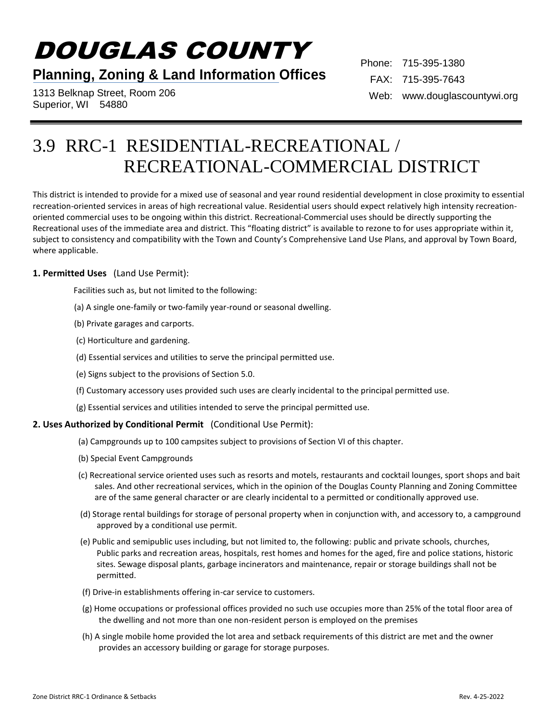# DOUGLAS COUNTY

## **Planning, Zoning & Land Information Offices**

1313 Belknap Street, Room 206 Superior, WI 54880

Phone: 715-395-1380 FAX: 715-395-7643 Web: www.douglascountywi.org

# 3.9 RRC-1 RESIDENTIAL-RECREATIONAL / RECREATIONAL-COMMERCIAL DISTRICT

This district is intended to provide for a mixed use of seasonal and year round residential development in close proximity to essential recreation-oriented services in areas of high recreational value. Residential users should expect relatively high intensity recreationoriented commercial uses to be ongoing within this district. Recreational-Commercial uses should be directly supporting the Recreational uses of the immediate area and district. This "floating district" is available to rezone to for uses appropriate within it, subject to consistency and compatibility with the Town and County's Comprehensive Land Use Plans, and approval by Town Board, where applicable.

#### **1. Permitted Uses** (Land Use Permit):

Facilities such as, but not limited to the following:

- (a) A single one-family or two-family year-round or seasonal dwelling.
- (b) Private garages and carports.
- (c) Horticulture and gardening.
- (d) Essential services and utilities to serve the principal permitted use.
- (e) Signs subject to the provisions of Section 5.0.
- (f) Customary accessory uses provided such uses are clearly incidental to the principal permitted use.
- (g) Essential services and utilities intended to serve the principal permitted use.

#### **2. Uses Authorized by Conditional Permit** (Conditional Use Permit):

- (a) Campgrounds up to 100 campsites subject to provisions of Section VI of this chapter.
- (b) Special Event Campgrounds
- (c) Recreational service oriented uses such as resorts and motels, restaurants and cocktail lounges, sport shops and bait sales. And other recreational services, which in the opinion of the Douglas County Planning and Zoning Committee are of the same general character or are clearly incidental to a permitted or conditionally approved use.
- (d) Storage rental buildings for storage of personal property when in conjunction with, and accessory to, a campground approved by a conditional use permit.
- (e) Public and semipublic uses including, but not limited to, the following: public and private schools, churches, Public parks and recreation areas, hospitals, rest homes and homes for the aged, fire and police stations, historic sites. Sewage disposal plants, garbage incinerators and maintenance, repair or storage buildings shall not be permitted.
- (f) Drive-in establishments offering in-car service to customers.
- (g) Home occupations or professional offices provided no such use occupies more than 25% of the total floor area of the dwelling and not more than one non-resident person is employed on the premises
- (h) A single mobile home provided the lot area and setback requirements of this district are met and the owner provides an accessory building or garage for storage purposes.